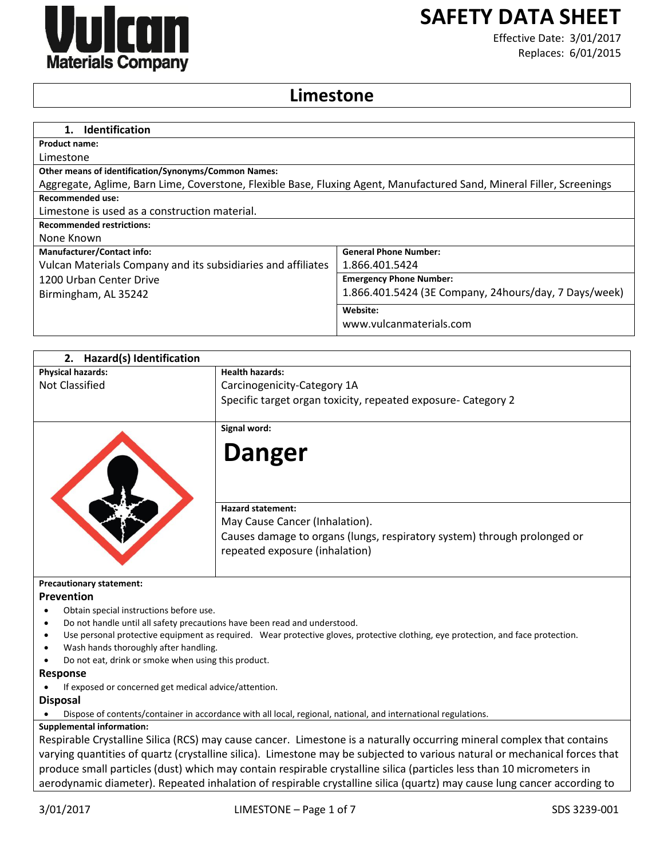

# **SAFETY DATA SHEET**

Effective Date: 3/01/2017 Replaces: 6/01/2015

# **Limestone**

| <b>Identification</b>                                                                                                 |                                                       |
|-----------------------------------------------------------------------------------------------------------------------|-------------------------------------------------------|
| <b>Product name:</b>                                                                                                  |                                                       |
| Limestone                                                                                                             |                                                       |
| <b>Other means of identification/Synonyms/Common Names:</b>                                                           |                                                       |
| Aggregate, Aglime, Barn Lime, Coverstone, Flexible Base, Fluxing Agent, Manufactured Sand, Mineral Filler, Screenings |                                                       |
| Recommended use:                                                                                                      |                                                       |
| Limestone is used as a construction material.                                                                         |                                                       |
| <b>Recommended restrictions:</b>                                                                                      |                                                       |
| None Known                                                                                                            |                                                       |
| <b>Manufacturer/Contact info:</b>                                                                                     | <b>General Phone Number:</b>                          |
| Vulcan Materials Company and its subsidiaries and affiliates                                                          | 1.866.401.5424                                        |
| 1200 Urban Center Drive                                                                                               | <b>Emergency Phone Number:</b>                        |
| Birmingham, AL 35242                                                                                                  | 1.866.401.5424 (3E Company, 24hours/day, 7 Days/week) |
|                                                                                                                       | Website:                                              |
|                                                                                                                       | www.vulcanmaterials.com                               |

| 2. Hazard(s) Identification                                                            |                                                                                                                                  |
|----------------------------------------------------------------------------------------|----------------------------------------------------------------------------------------------------------------------------------|
| <b>Physical hazards:</b>                                                               | <b>Health hazards:</b>                                                                                                           |
| Not Classified                                                                         | Carcinogenicity-Category 1A                                                                                                      |
|                                                                                        | Specific target organ toxicity, repeated exposure- Category 2                                                                    |
|                                                                                        | Signal word:                                                                                                                     |
|                                                                                        | <b>Danger</b>                                                                                                                    |
|                                                                                        | <b>Hazard statement:</b><br>May Cause Cancer (Inhalation).                                                                       |
|                                                                                        | Causes damage to organs (lungs, respiratory system) through prolonged or<br>repeated exposure (inhalation)                       |
| <b>Precautionary statement:</b>                                                        |                                                                                                                                  |
| Prevention                                                                             |                                                                                                                                  |
| Obtain special instructions before use.                                                |                                                                                                                                  |
| Do not handle until all safety precautions have been read and understood.<br>$\bullet$ |                                                                                                                                  |
| ٠<br>Wash hands thoroughly after handling.<br>٠                                        | Use personal protective equipment as required. Wear protective gloves, protective clothing, eye protection, and face protection. |
| Do not eat, drink or smoke when using this product.                                    |                                                                                                                                  |
| <b>Response</b>                                                                        |                                                                                                                                  |
| If exposed or concerned get medical advice/attention.                                  |                                                                                                                                  |
| <b>Disposal</b>                                                                        |                                                                                                                                  |
|                                                                                        | Dispose of contents/container in accordance with all local, regional, national, and international regulations.                   |
| <b>Supplemental information:</b>                                                       |                                                                                                                                  |
|                                                                                        | Respirable Crystalline Silica (RCS) may cause cancer. Limestone is a naturally occurring mineral complex that contains           |
|                                                                                        | varying quantities of quartz (crystalline silica). Limestone may be subjected to various natural or mechanical forces that       |
|                                                                                        | produce small particles (dust) which may contain respirable crystalline silica (particles less than 10 micrometers in            |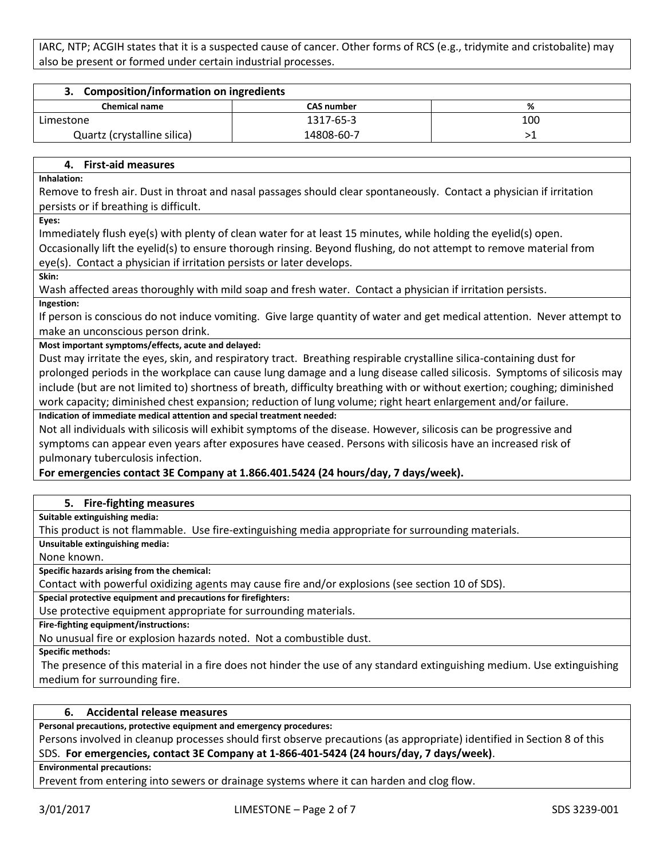IARC, NTP; ACGIH states that it is a suspected cause of cancer. Other forms of RCS (e.g., tridymite and cristobalite) may also be present or formed under certain industrial processes.

| 3. Composition/information on ingredients |                   |     |
|-------------------------------------------|-------------------|-----|
| <b>Chemical name</b>                      | <b>CAS number</b> | %   |
| Limestone                                 | 1317-65-3         | 100 |
| Quartz (crystalline silica)               | 14808-60-7        |     |

# **4. First-aid measures**

**Inhalation:**

Remove to fresh air. Dust in throat and nasal passages should clear spontaneously. Contact a physician if irritation persists or if breathing is difficult.

**Eyes:**

Immediately flush eye(s) with plenty of clean water for at least 15 minutes, while holding the eyelid(s) open.

Occasionally lift the eyelid(s) to ensure thorough rinsing. Beyond flushing, do not attempt to remove material from eye(s). Contact a physician if irritation persists or later develops.

**Skin:**

Wash affected areas thoroughly with mild soap and fresh water. Contact a physician if irritation persists.

**Ingestion:**

If person is conscious do not induce vomiting. Give large quantity of water and get medical attention. Never attempt to make an unconscious person drink.

**Most important symptoms/effects, acute and delayed:**

Dust may irritate the eyes, skin, and respiratory tract. Breathing respirable crystalline silica-containing dust for prolonged periods in the workplace can cause lung damage and a lung disease called silicosis. Symptoms of silicosis may include (but are not limited to) shortness of breath, difficulty breathing with or without exertion; coughing; diminished work capacity; diminished chest expansion; reduction of lung volume; right heart enlargement and/or failure.

**Indication of immediate medical attention and special treatment needed:**

Not all individuals with silicosis will exhibit symptoms of the disease. However, silicosis can be progressive and symptoms can appear even years after exposures have ceased. Persons with silicosis have an increased risk of pulmonary tuberculosis infection.

# **For emergencies contact 3E Company at 1.866.401.5424 (24 hours/day, 7 days/week).**

# **5. Fire-fighting measures**

**Suitable extinguishing media:**

This product is not flammable. Use fire-extinguishing media appropriate for surrounding materials.

**Unsuitable extinguishing media:**

None known.

**Specific hazards arising from the chemical:**

Contact with powerful oxidizing agents may cause fire and/or explosions (see section 10 of SDS).

**Special protective equipment and precautions for firefighters:**

Use protective equipment appropriate for surrounding materials.

**Fire-fighting equipment/instructions:**

No unusual fire or explosion hazards noted. Not a combustible dust.

**Specific methods:**

The presence of this material in a fire does not hinder the use of any standard extinguishing medium. Use extinguishing medium for surrounding fire.

# **6. Accidental release measures**

**Personal precautions, protective equipment and emergency procedures:**

Persons involved in cleanup processes should first observe precautions (as appropriate) identified in Section 8 of this SDS. **For emergencies, contact 3E Company at 1-866-401-5424 (24 hours/day, 7 days/week)**.

**Environmental precautions:**

Prevent from entering into sewers or drainage systems where it can harden and clog flow.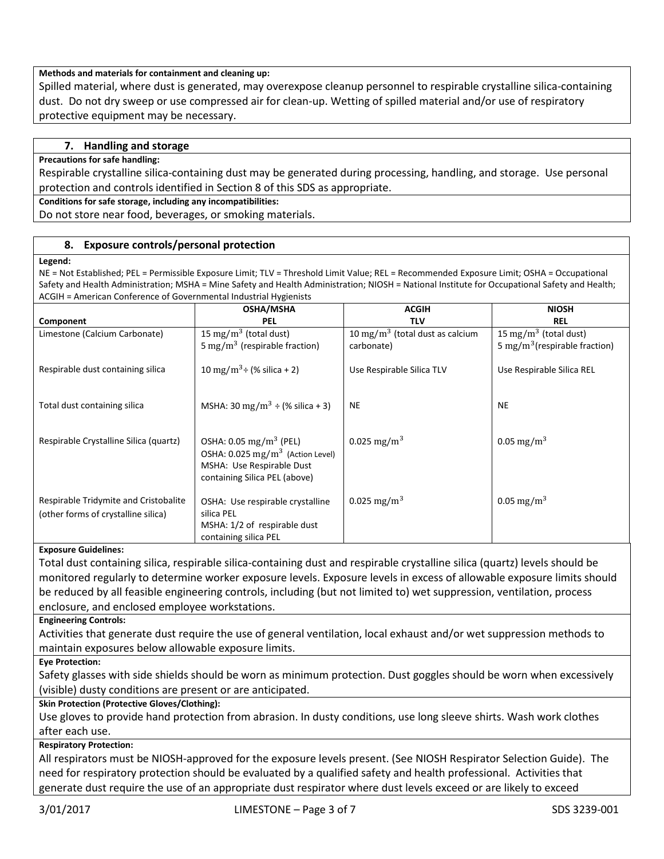### **Methods and materials for containment and cleaning up:**

Spilled material, where dust is generated, may overexpose cleanup personnel to respirable crystalline silica-containing dust. Do not dry sweep or use compressed air for clean-up. Wetting of spilled material and/or use of respiratory protective equipment may be necessary.

# **7. Handling and storage**

#### **Precautions for safe handling:**

Respirable crystalline silica-containing dust may be generated during processing, handling, and storage. Use personal protection and controls identified in Section 8 of this SDS as appropriate.

#### **Conditions for safe storage, including any incompatibilities:**

Do not store near food, beverages, or smoking materials.

#### **8. Exposure controls/personal protection**

#### **Legend:**

NE = Not Established; PEL = Permissible Exposure Limit; TLV = Threshold Limit Value; REL = Recommended Exposure Limit; OSHA = Occupational Safety and Health Administration; MSHA = Mine Safety and Health Administration; NIOSH = National Institute for Occupational Safety and Health; ACGIH = American Conference of Governmental Industrial Hygienists

|                                                                              | <b>OSHA/MSHA</b>                                                                                                                                  | <b>ACGIH</b>                                | <b>NIOSH</b>                              |
|------------------------------------------------------------------------------|---------------------------------------------------------------------------------------------------------------------------------------------------|---------------------------------------------|-------------------------------------------|
| Component                                                                    | <b>PEL</b>                                                                                                                                        | <b>TLV</b>                                  | <b>REL</b>                                |
| Limestone (Calcium Carbonate)                                                | 15 mg/m <sup>3</sup> (total dust)                                                                                                                 | 10 mg/m <sup>3</sup> (total dust as calcium | 15 mg/m <sup>3</sup> (total dust)         |
|                                                                              | 5 mg/m <sup>3</sup> (respirable fraction)                                                                                                         | carbonate)                                  | 5 mg/m <sup>3</sup> (respirable fraction) |
| Respirable dust containing silica                                            | 10 mg/m <sup>3</sup> ÷ (% silica + 2)                                                                                                             | Use Respirable Silica TLV                   | Use Respirable Silica REL                 |
| Total dust containing silica                                                 | MSHA: 30 mg/m <sup>3</sup> ÷ (% silica + 3)                                                                                                       | <b>NE</b>                                   | <b>NE</b>                                 |
| Respirable Crystalline Silica (quartz)                                       | OSHA: $0.05 \text{ mg/m}^3$ (PEL)<br>OSHA: $0.025$ mg/m <sup>3</sup> (Action Level)<br>MSHA: Use Respirable Dust<br>containing Silica PEL (above) | 0.025 mg/m <sup>3</sup>                     | 0.05 mg/m <sup>3</sup>                    |
| Respirable Tridymite and Cristobalite<br>(other forms of crystalline silica) | OSHA: Use respirable crystalline<br>silica PEL<br>MSHA: 1/2 of respirable dust<br>containing silica PEL                                           | 0.025 mg/m <sup>3</sup>                     | 0.05 mg/m <sup>3</sup>                    |

#### **Exposure Guidelines:**

Total dust containing silica, respirable silica-containing dust and respirable crystalline silica (quartz) levels should be monitored regularly to determine worker exposure levels. Exposure levels in excess of allowable exposure limits should be reduced by all feasible engineering controls, including (but not limited to) wet suppression, ventilation, process enclosure, and enclosed employee workstations.

**Engineering Controls:**

Activities that generate dust require the use of general ventilation, local exhaust and/or wet suppression methods to maintain exposures below allowable exposure limits.

**Eye Protection:**

Safety glasses with side shields should be worn as minimum protection. Dust goggles should be worn when excessively (visible) dusty conditions are present or are anticipated.

#### **Skin Protection (Protective Gloves/Clothing):**

Use gloves to provide hand protection from abrasion. In dusty conditions, use long sleeve shirts. Wash work clothes after each use.

# **Respiratory Protection:**

All respirators must be NIOSH-approved for the exposure levels present. (See NIOSH Respirator Selection Guide). The need for respiratory protection should be evaluated by a qualified safety and health professional. Activities that generate dust require the use of an appropriate dust respirator where dust levels exceed or are likely to exceed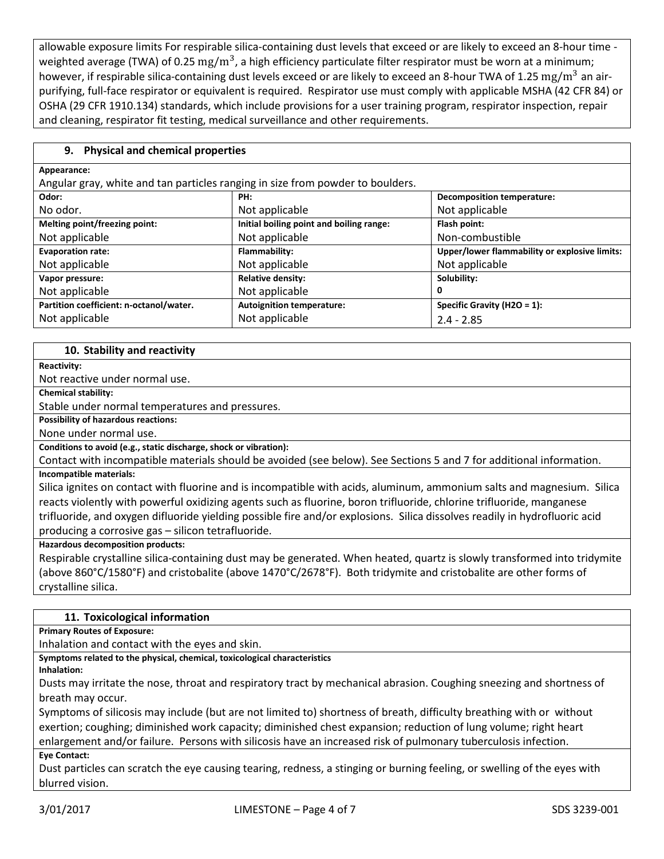allowable exposure limits For respirable silica-containing dust levels that exceed or are likely to exceed an 8-hour time weighted average (TWA) of 0.25  $\rm mg/m^3$ , a high efficiency particulate filter respirator must be worn at a minimum; however, if respirable silica-containing dust levels exceed or are likely to exceed an 8-hour TWA of 1.25 mg/m<sup>3</sup> an airpurifying, full-face respirator or equivalent is required. Respirator use must comply with applicable MSHA (42 CFR 84) or OSHA (29 CFR 1910.134) standards, which include provisions for a user training program, respirator inspection, repair and cleaning, respirator fit testing, medical surveillance and other requirements.

# **9. Physical and chemical properties**

| Appearance:                                                                    |                                          |                                               |  |
|--------------------------------------------------------------------------------|------------------------------------------|-----------------------------------------------|--|
| Angular gray, white and tan particles ranging in size from powder to boulders. |                                          |                                               |  |
| Odor:                                                                          | PH:                                      | <b>Decomposition temperature:</b>             |  |
| No odor.                                                                       | Not applicable                           | Not applicable                                |  |
| Melting point/freezing point:                                                  | Initial boiling point and boiling range: | Flash point:                                  |  |
| Not applicable                                                                 | Not applicable                           | Non-combustible                               |  |
| <b>Evaporation rate:</b>                                                       | Flammability:                            | Upper/lower flammability or explosive limits: |  |
| Not applicable                                                                 | Not applicable                           | Not applicable                                |  |
| Vapor pressure:                                                                | <b>Relative density:</b>                 | Solubility:                                   |  |
| Not applicable                                                                 | Not applicable                           | 0                                             |  |
| Partition coefficient: n-octanol/water.                                        | <b>Autoignition temperature:</b>         | Specific Gravity (H2O = 1):                   |  |
| Not applicable                                                                 | Not applicable                           | $2.4 - 2.85$                                  |  |

# **10. Stability and reactivity**

#### **Reactivity:**

Not reactive under normal use.

**Chemical stability:**

Stable under normal temperatures and pressures.

**Possibility of hazardous reactions:**

None under normal use.

**Conditions to avoid (e.g., static discharge, shock or vibration):**

Contact with incompatible materials should be avoided (see below). See Sections 5 and 7 for additional information.

# **Incompatible materials:**

Silica ignites on contact with fluorine and is incompatible with acids, aluminum, ammonium salts and magnesium. Silica reacts violently with powerful oxidizing agents such as fluorine, boron trifluoride, chlorine trifluoride, manganese trifluoride, and oxygen difluoride yielding possible fire and/or explosions. Silica dissolves readily in hydrofluoric acid producing a corrosive gas – silicon tetrafluoride.

**Hazardous decomposition products:**

Respirable crystalline silica-containing dust may be generated. When heated, quartz is slowly transformed into tridymite (above 860°C/1580°F) and cristobalite (above 1470°C/2678°F). Both tridymite and cristobalite are other forms of crystalline silica.

#### **11. Toxicological information**

**Primary Routes of Exposure:**

Inhalation and contact with the eyes and skin.

**Symptoms related to the physical, chemical, toxicological characteristics**

**Inhalation:**

Dusts may irritate the nose, throat and respiratory tract by mechanical abrasion. Coughing sneezing and shortness of breath may occur.

Symptoms of silicosis may include (but are not limited to) shortness of breath, difficulty breathing with or without exertion; coughing; diminished work capacity; diminished chest expansion; reduction of lung volume; right heart enlargement and/or failure. Persons with silicosis have an increased risk of pulmonary tuberculosis infection.

#### **Eye Contact:**

Dust particles can scratch the eye causing tearing, redness, a stinging or burning feeling, or swelling of the eyes with blurred vision.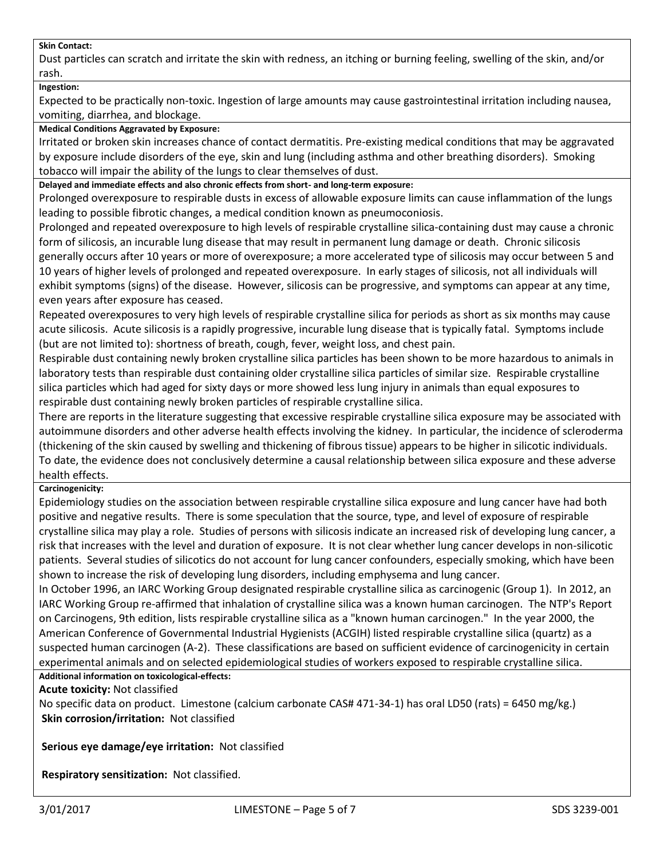#### **Skin Contact:**

Dust particles can scratch and irritate the skin with redness, an itching or burning feeling, swelling of the skin, and/or rash.

#### **Ingestion:**

Expected to be practically non-toxic. Ingestion of large amounts may cause gastrointestinal irritation including nausea, vomiting, diarrhea, and blockage.

#### **Medical Conditions Aggravated by Exposure:**

Irritated or broken skin increases chance of contact dermatitis. Pre-existing medical conditions that may be aggravated by exposure include disorders of the eye, skin and lung (including asthma and other breathing disorders). Smoking tobacco will impair the ability of the lungs to clear themselves of dust.

**Delayed and immediate effects and also chronic effects from short- and long-term exposure:**

Prolonged overexposure to respirable dusts in excess of allowable exposure limits can cause inflammation of the lungs leading to possible fibrotic changes, a medical condition known as pneumoconiosis.

Prolonged and repeated overexposure to high levels of respirable crystalline silica-containing dust may cause a chronic form of silicosis, an incurable lung disease that may result in permanent lung damage or death. Chronic silicosis generally occurs after 10 years or more of overexposure; a more accelerated type of silicosis may occur between 5 and 10 years of higher levels of prolonged and repeated overexposure. In early stages of silicosis, not all individuals will exhibit symptoms (signs) of the disease. However, silicosis can be progressive, and symptoms can appear at any time, even years after exposure has ceased.

Repeated overexposures to very high levels of respirable crystalline silica for periods as short as six months may cause acute silicosis. Acute silicosis is a rapidly progressive, incurable lung disease that is typically fatal. Symptoms include (but are not limited to): shortness of breath, cough, fever, weight loss, and chest pain.

Respirable dust containing newly broken crystalline silica particles has been shown to be more hazardous to animals in laboratory tests than respirable dust containing older crystalline silica particles of similar size. Respirable crystalline silica particles which had aged for sixty days or more showed less lung injury in animals than equal exposures to respirable dust containing newly broken particles of respirable crystalline silica.

There are reports in the literature suggesting that excessive respirable crystalline silica exposure may be associated with autoimmune disorders and other adverse health effects involving the kidney. In particular, the incidence of scleroderma (thickening of the skin caused by swelling and thickening of fibrous tissue) appears to be higher in silicotic individuals. To date, the evidence does not conclusively determine a causal relationship between silica exposure and these adverse health effects.

#### **Carcinogenicity:**

Epidemiology studies on the association between respirable crystalline silica exposure and lung cancer have had both positive and negative results. There is some speculation that the source, type, and level of exposure of respirable crystalline silica may play a role. Studies of persons with silicosis indicate an increased risk of developing lung cancer, a risk that increases with the level and duration of exposure. It is not clear whether lung cancer develops in non-silicotic patients. Several studies of silicotics do not account for lung cancer confounders, especially smoking, which have been shown to increase the risk of developing lung disorders, including emphysema and lung cancer.

In October 1996, an IARC Working Group designated respirable crystalline silica as carcinogenic (Group 1). In 2012, an IARC Working Group re-affirmed that inhalation of crystalline silica was a known human carcinogen. The NTP's Report on Carcinogens, 9th edition, lists respirable crystalline silica as a "known human carcinogen." In the year 2000, the American Conference of Governmental Industrial Hygienists (ACGIH) listed respirable crystalline silica (quartz) as a suspected human carcinogen (A-2). These classifications are based on sufficient evidence of carcinogenicity in certain experimental animals and on selected epidemiological studies of workers exposed to respirable crystalline silica.

**Additional information on toxicological-effects:**

**Acute toxicity:** Not classified

No specific data on product. Limestone (calcium carbonate CAS# 471-34-1) has oral LD50 (rats) = 6450 mg/kg.) **Skin corrosion/irritation:** Not classified

**Serious eye damage/eye irritation:** Not classified

**Respiratory sensitization:** Not classified.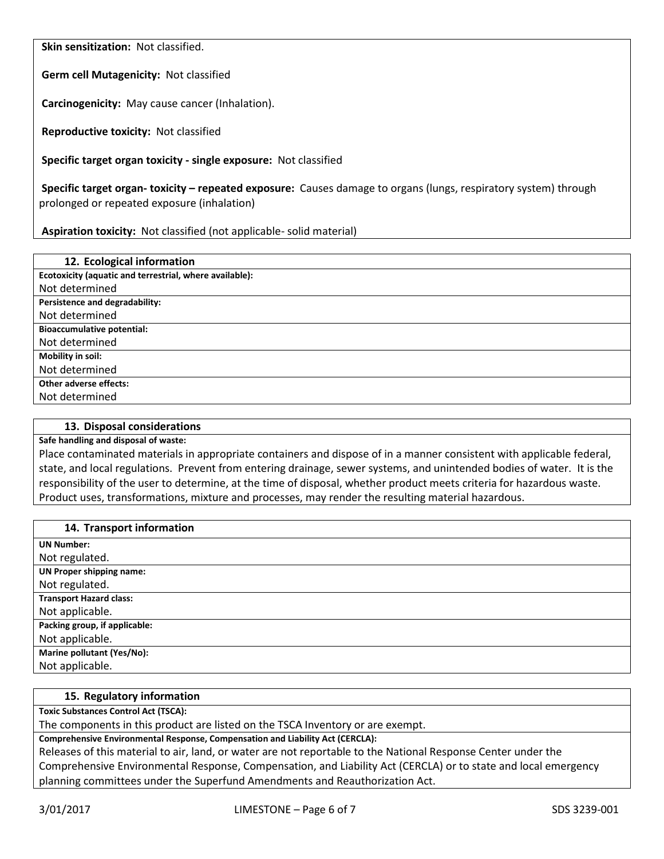**Skin sensitization:** Not classified.

**Germ cell Mutagenicity:** Not classified

**Carcinogenicity:** May cause cancer (Inhalation).

**Reproductive toxicity:** Not classified

**Specific target organ toxicity - single exposure:** Not classified

**Specific target organ- toxicity – repeated exposure:** Causes damage to organs (lungs, respiratory system) through prolonged or repeated exposure (inhalation)

**Aspiration toxicity:** Not classified (not applicable- solid material)

| 12. Ecological information                              |
|---------------------------------------------------------|
| Ecotoxicity (aquatic and terrestrial, where available): |
| Not determined                                          |
| Persistence and degradability:                          |
| Not determined                                          |
| <b>Bioaccumulative potential:</b>                       |
| Not determined                                          |
| Mobility in soil:                                       |
| Not determined                                          |
| <b>Other adverse effects:</b>                           |
| Not determined                                          |

#### **13. Disposal considerations**

#### **Safe handling and disposal of waste:**

Place contaminated materials in appropriate containers and dispose of in a manner consistent with applicable federal, state, and local regulations. Prevent from entering drainage, sewer systems, and unintended bodies of water. It is the responsibility of the user to determine, at the time of disposal, whether product meets criteria for hazardous waste. Product uses, transformations, mixture and processes, may render the resulting material hazardous.

| 14. Transport information       |
|---------------------------------|
| <b>UN Number:</b>               |
| Not regulated.                  |
| <b>UN Proper shipping name:</b> |
| Not regulated.                  |
| <b>Transport Hazard class:</b>  |
| Not applicable.                 |
| Packing group, if applicable:   |
| Not applicable.                 |
| Marine pollutant (Yes/No):      |
| Not applicable.                 |

#### **15. Regulatory information**

**Toxic Substances Control Act (TSCA):**

The components in this product are listed on the TSCA Inventory or are exempt.

**Comprehensive Environmental Response, Compensation and Liability Act (CERCLA):**

Releases of this material to air, land, or water are not reportable to the National Response Center under the Comprehensive Environmental Response, Compensation, and Liability Act (CERCLA) or to state and local emergency planning committees under the Superfund Amendments and Reauthorization Act.